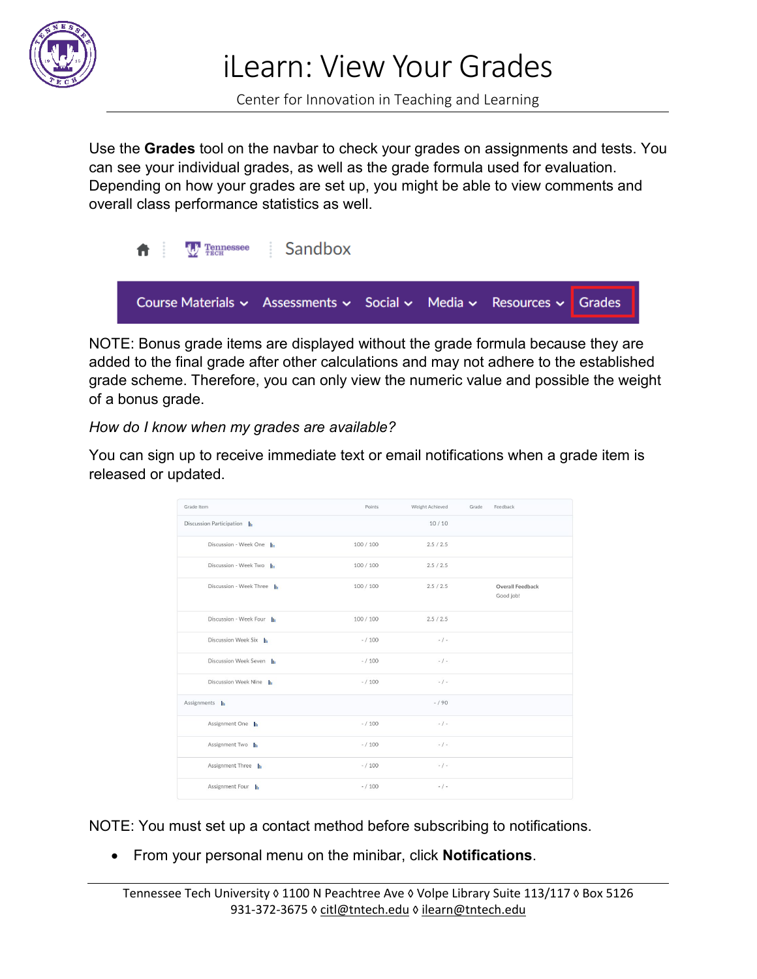

iLearn: View Your Grades

Center for Innovation in Teaching and Learning

Use the **Grades** tool on the navbar to check your grades on assignments and tests. You can see your individual grades, as well as the grade formula used for evaluation. Depending on how your grades are set up, you might be able to view comments and overall class performance statistics as well.



NOTE: Bonus grade items are displayed without the grade formula because they are added to the final grade after other calculations and may not adhere to the established grade scheme. Therefore, you can only view the numeric value and possible the weight of a bonus grade.

*How do I know when my grades are available?* 

You can sign up to receive immediate text or email notifications when a grade item is released or updated.

| Grade Item               | Points    | Weight Achieved | Grade | Feedback                      |
|--------------------------|-----------|-----------------|-------|-------------------------------|
| Discussion Participation |           | 10/10           |       |                               |
| Discussion - Week One In | 100/100   | 2.5/2.5         |       |                               |
| Discussion - Week Two    | 100/100   | 2.5/2.5         |       |                               |
| Discussion - Week Three  | 100/100   | 2.5/2.5         |       | Overall Feedback<br>Good job! |
| Discussion - Week Four   | 100/100   | 2.5/2.5         |       |                               |
| Discussion Week Six      | $- / 100$ | $-$ / -         |       |                               |
| Discussion Week Seven    | $- / 100$ | $-/-$           |       |                               |
| Discussion Week Nine     | $- / 100$ | $-1-$           |       |                               |
| Assignments In           |           | $-/90$          |       |                               |
| Assignment One           | $- / 100$ | $-1-$           |       |                               |
| Assignment Two           | $- / 100$ | $-$ / -         |       |                               |
| Assignment Three         | $- / 100$ | $-1-$           |       |                               |
| Assignment Four          | $- / 100$ | $-1-$           |       |                               |

NOTE: You must set up a contact method before subscribing to notifications.

• From your personal menu on the minibar, click **Notifications**.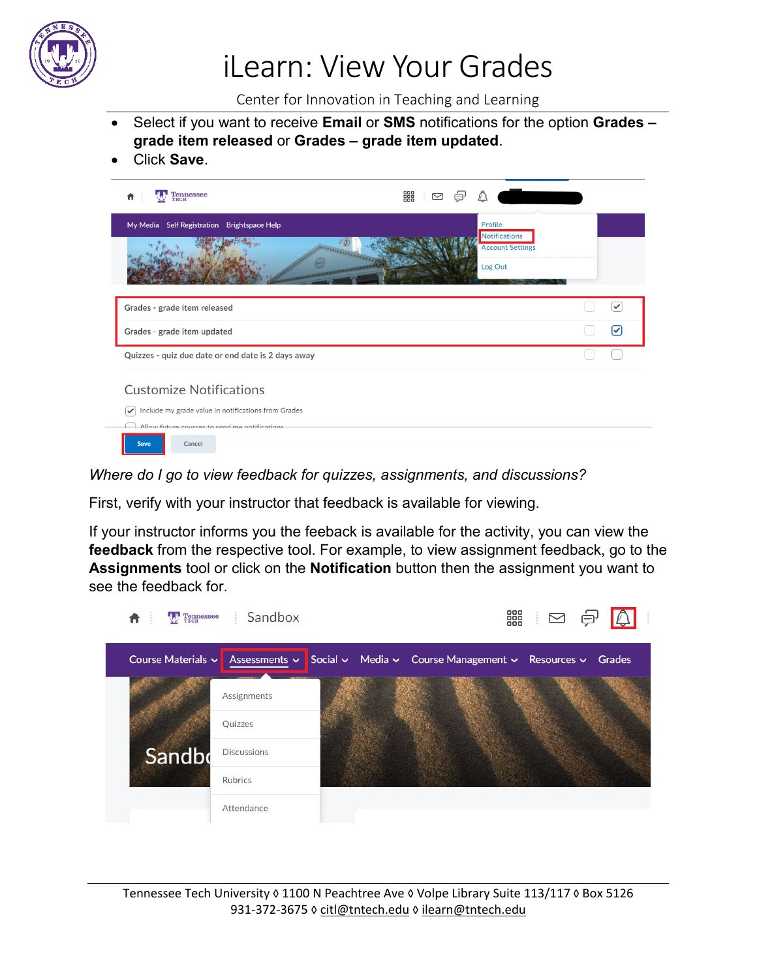

## iLearn: View Your Grades

Center for Innovation in Teaching and Learning

- Select if you want to receive **Email** or **SMS** notifications for the option **Grades – grade item released** or **Grades – grade item updated**.
- Click **Save**.



*Where do I go to view feedback for quizzes, assignments, and discussions?* 

First, verify with your instructor that feedback is available for viewing.

If your instructor informs you the feeback is available for the activity, you can view the **feedback** from the respective tool. For example, to view assignment feedback, go to the **Assignments** tool or click on the **Notification** button then the assignment you want to see the feedback for.